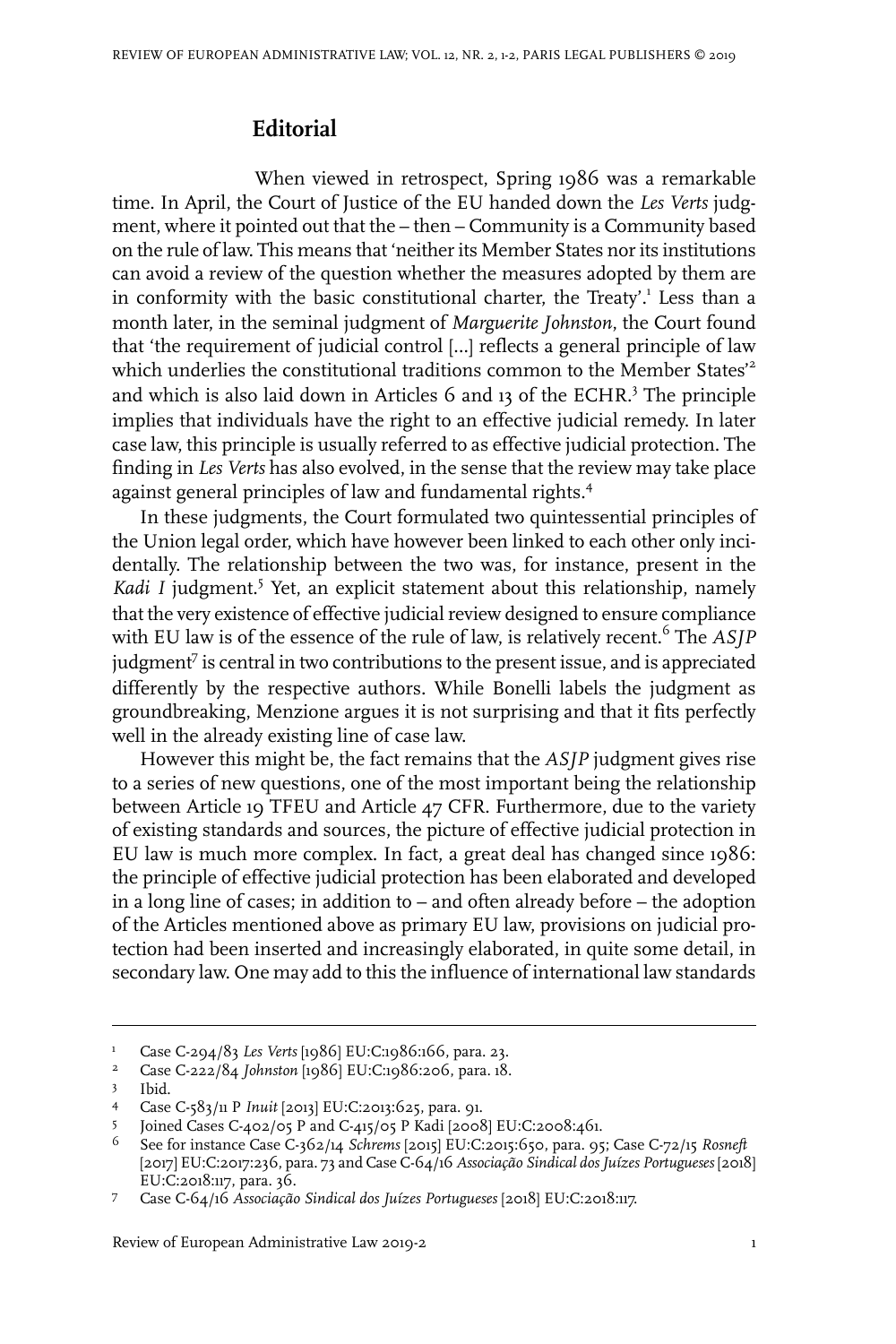## **Editorial**

When viewed in retrospect, Spring 1986 was a remarkable time. In April, the Court of Justice of the EU handed down the *Les Verts* judgment, where it pointed out that the – then – Community is a Community based on the rule of law. This means that 'neither its Member States nor its institutions can avoid a review of the question whether the measures adopted by them are in conformity with the basic constitutional charter, the Treaty'.<sup>1</sup> Less than a month later, in the seminal judgment of *Marguerite Johnston*, the Court found that 'the requirement of judicial control […] reflects a general principle of law which underlies the constitutional traditions common to the Member States<sup>2</sup> and which is also laid down in Articles 6 and 13 of the ECHR.<sup>3</sup> The principle implies that individuals have the right to an effective judicial remedy. In later case law, this principle is usually referred to as effective judicial protection. The finding in *Les Verts* has also evolved, in the sense that the review may take place against general principles of law and fundamental rights.<sup>4</sup>

In these judgments, the Court formulated two quintessential principles of the Union legal order, which have however been linked to each other only incidentally. The relationship between the two was, for instance, present in the *Kadi I* judgment.<sup>5</sup> Yet, an explicit statement about this relationship, namely that the very existence of effective judicial review designed to ensure compliance with EU law is of the essence of the rule of law, is relatively recent.<sup>6</sup> The *ASJP* judgment<sup>7</sup> is central in two contributions to the present issue, and is appreciated differently by the respective authors. While Bonelli labels the judgment as groundbreaking, Menzione argues it is not surprising and that it fits perfectly well in the already existing line of case law.

However this might be, the fact remains that the *ASJP* judgment gives rise to a series of new questions, one of the most important being the relationship between Article 19 TFEU and Article 47 CFR. Furthermore, due to the variety of existing standards and sources, the picture of effective judicial protection in EU law is much more complex. In fact, a great deal has changed since 1986: the principle of effective judicial protection has been elaborated and developed in a long line of cases; in addition to – and often already before – the adoption of the Articles mentioned above as primary EU law, provisions on judicial protection had been inserted and increasingly elaborated, in quite some detail, in secondary law. One may add to this the influence of international law standards

Review of European Administrative Law 2019-2 1

<sup>&</sup>lt;sup>1</sup> Case C-294/83 *Les Verts* [1986] EU:C:1986:166, para. 23.<br><sup>2</sup> Case C 222/84 Johnston [1986] EU:C:1986:296, para. 18

Case C-222/84 *Johnston* [1986] EU:C:1986:206, para. 18. <sup>2</sup>

Ibid.

Case C-583/11 P *Inuit* [2013] EU:C:2013:625, para. 91. <sup>4</sup>

<sup>5</sup> Joined Cases C-402/05 P and C-415/05 P Kadi [2008] EU:C:2008:461.

<sup>&</sup>lt;sup>6</sup> See for instance Case C-362/14 *Schrems* [2015] EU:C:2015:650, para. 95; Case C-72/15 *Rosneft* [2017] EU:C:2017:236, para. 73 and Case C-64/16 *Associação Sindical dosJuízes Portugueses* [2018] EU:C:2018:117, para. 36.

Case C-64/16 *Associação Sindical dos Juízes Portugueses* [2018] EU:C:2018:117. 7